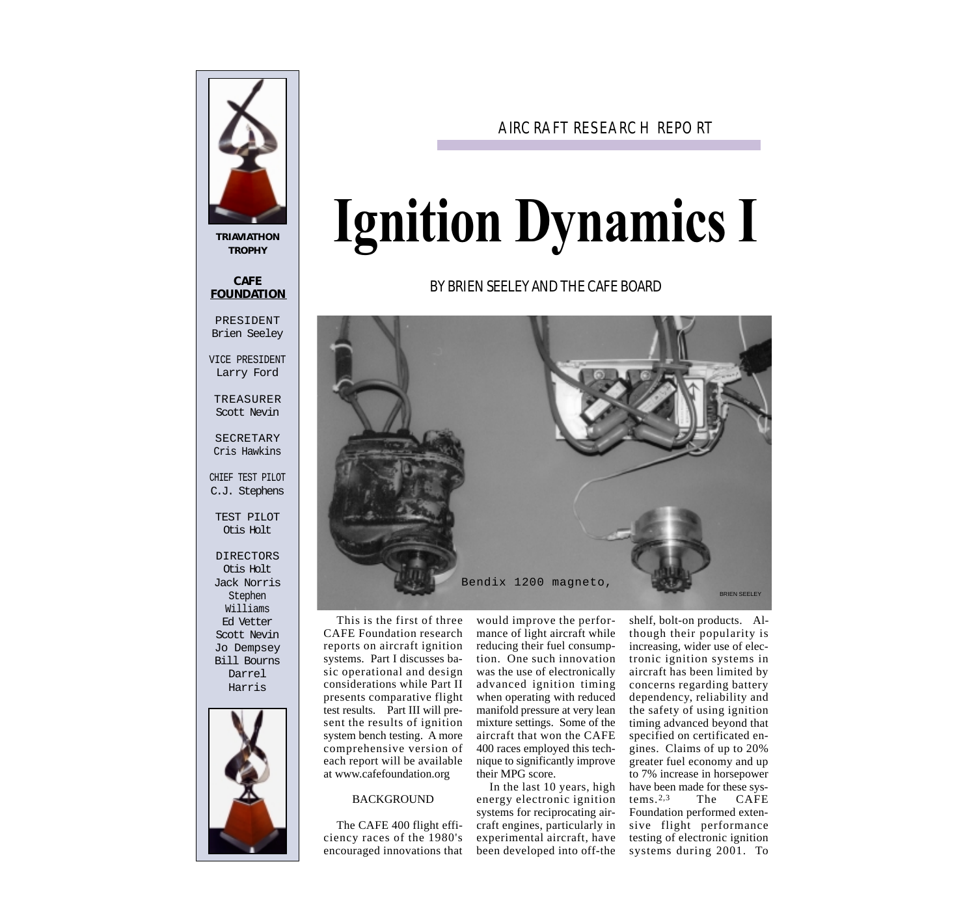

**TRIAVIATHON TROPHY**

# **CAFE FOUNDATION**

PRESIDENT Brien Seeley

VICE PRESIDENT Larry Ford

TREASURER Scott Nevin

SECRETARY Cris Hawkins

CHIEF TEST PILOT C.J. Stephens

TEST PILOT Otis Holt

DIRECTORS Otis Holt Jack Norris Stephen Williams Ed Vetter Scott Nevin Jo Dempsey Bill Bourns Darrel Harris



# AIRCRAFT RESEARCH REPORT

# **Ignition Dynamics I**

# BY BRIEN SEELEY AND THE CAFE BOARD



This is the first of three CAFE Foundation research reports on aircraft ignition systems. Part I discusses basic operational and design considerations while Part II presents comparative flight test results. Part III will present the results of ignition system bench testing. A more comprehensive version of each report will be available at www.cafefoundation.org

### BACKGROUND

The CAFE 400 flight efficiency races of the 1980's encouraged innovations that would improve the performance of light aircraft while reducing their fuel consumption. One such innovation was the use of electronically advanced ignition timing when operating with reduced manifold pressure at very lean mixture settings. Some of the aircraft that won the CAFE 400 races employed this technique to significantly improve their MPG score.

In the last 10 years, high energy electronic ignition systems for reciprocating aircraft engines, particularly in experimental aircraft, have been developed into off-the

shelf, bolt-on products. Although their popularity is increasing, wider use of electronic ignition systems in aircraft has been limited by concerns regarding battery dependency, reliability and the safety of using ignition timing advanced beyond that specified on certificated engines. Claims of up to 20% greater fuel economy and up to 7% increase in horsepower have been made for these sys-<br>tems.<sup>2,3</sup> The CAFE The CAFE Foundation performed extensive flight performance testing of electronic ignition systems during 2001. To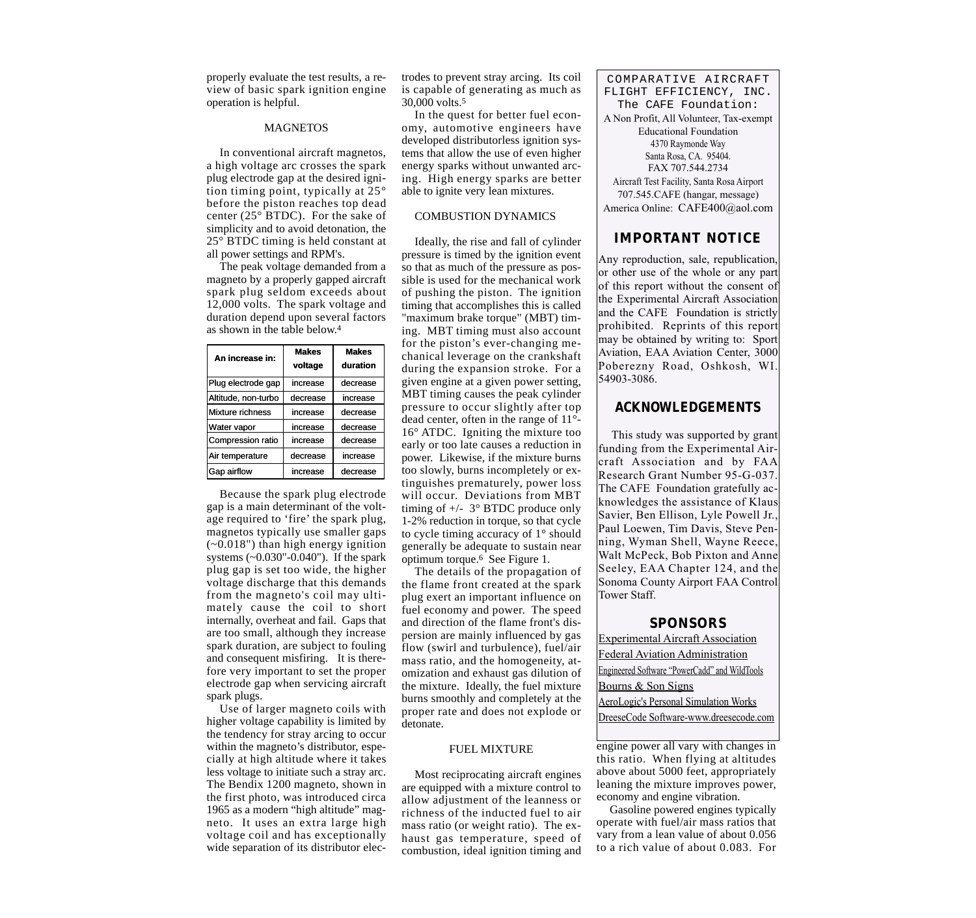properly evaluate the test results, a review of basic spark ignition engine operation is helpful.

#### **MAGNETOS**

In conventional aircraft magnetos, a high voltage arc crosses the spark plug electrode gap at the desired ignition timing point, typically at 25° before the piston reaches top dead center (25° BTDC). For the sake of simplicity and to avoid detonation, the 25° BTDC timing is held constant at all power settings and RPM's.

The peak voltage demanded from a magneto by a properly gapped aircraft spark plug seldom exceeds about 12,000 volts. The spark voltage and duration depend upon several factors as shown in the table below.4

| An increase in:     | <b>Makes</b><br>voltage | <b>Makes</b><br>duration |
|---------------------|-------------------------|--------------------------|
| Plug electrode gap  | increase                | decrease                 |
| Altitude, non-turbo | decrease                | increase                 |
| Mixture richness    | increase                | decrease                 |
| Water vapor         | increase                | decrease                 |
| Compression ratio   | increase                | decrease                 |
| Air temperature     | decrease                | increase                 |
| Gap airflow         | increase                | decrease                 |

Because the spark plug electrode gap is a main determinant of the voltage required to 'fire' the spark plug, magnetos typically use smaller gaps  $(-0.018")$  than high energy ignition systems (~0.030"-0.040"). If the spark plug gap is set too wide, the higher voltage discharge that this demands from the magneto's coil may ultimately cause the coil to short internally, overheat and fail. Gaps that are too small, although they increase spark duration, are subject to fouling and consequent misfiring. It is therefore very important to set the proper electrode gap when servicing aircraft spark plugs.

Use of larger magneto coils with higher voltage capability is limited by the tendency for stray arcing to occur within the magneto's distributor, especially at high altitude where it takes less voltage to initiate such a stray arc. The Bendix 1200 magneto, shown in the first photo, was introduced circa 1965 as a modern "high altitude" magneto. It uses an extra large high voltage coil and has exceptionally wide separation of its distributor electrodes to prevent stray arcing. Its coil is capable of generating as much as 30,000 volts.5

In the quest for better fuel economy, automotive engineers have developed distributorless ignition systems that allow the use of even higher energy sparks without unwanted arcing. High energy sparks are better able to ignite very lean mixtures.

## COMBUSTION DYNAMICS

Ideally, the rise and fall of cylinder pressure is timed by the ignition event so that as much of the pressure as possible is used for the mechanical work of pushing the piston. The ignition timing that accomplishes this is called "maximum brake torque" (MBT) timing. MBT timing must also account for the piston's ever-changing mechanical leverage on the crankshaft during the expansion stroke. For a given engine at a given power setting, MBT timing causes the peak cylinder pressure to occur slightly after top dead center, often in the range of 11°- 16° ATDC. Igniting the mixture too early or too late causes a reduction in power. Likewise, if the mixture burns too slowly, burns incompletely or extinguishes prematurely, power loss will occur. Deviations from MBT timing of  $+/- 3^\circ$  BTDC produce only 1-2% reduction in torque, so that cycle to cycle timing accuracy of 1° should generally be adequate to sustain near optimum torque.6 See Figure 1.

The details of the propagation of the flame front created at the spark plug exert an important influence on fuel economy and power. The speed and direction of the flame front's dispersion are mainly influenced by gas flow (swirl and turbulence), fuel/air mass ratio, and the homogeneity, atomization and exhaust gas dilution of the mixture. Ideally, the fuel mixture burns smoothly and completely at the proper rate and does not explode or detonate.

#### FUEL MIXTURE

Most reciprocating aircraft engines are equipped with a mixture control to allow adjustment of the leanness or richness of the inducted fuel to air mass ratio (or weight ratio). The exhaust gas temperature, speed of combustion, ideal ignition timing and

COMPARATIVE AIRCRAFT FLIGHT EFFICIENCY, INC. The CAFE Foundation: A Non Profit, All Volunteer, Tax-exempt Educational Foundation 4370 Raymonde Way Santa Rosa, CA. 95404. FAX 707.544.2734 Aircraft Test Facility, Santa Rosa Airport 707.545.CAFE (hangar, message) America Online: CAFE400@aol.com

# **IMPORTANT NOTICE**

Any reproduction, sale, republication, or other use of the whole or any part of this report without the consent of the Experimental Aircraft Association and the CAFE Foundation is strictly prohibited. Reprints of this report may be obtained by writing to: Sport Aviation, EAA Aviation Center, 3000 Poberezny Road, Oshkosh, WI. 54903-3086.

# **ACKNOWLEDGEMENTS**

This study was supported by grant funding from the Experimental Aircraft Association and by FAA Research Grant Number 95-G-037. The CAFE Foundation gratefully acknowledges the assistance of Klaus Savier, Ben Ellison, Lyle Powell Jr., Paul Loewen, Tim Davis, Steve Penning, Wyman Shell, Wayne Reece, Walt McPeck, Bob Pixton and Anne Seeley, EAA Chapter 124, and the Sonoma County Airport FAA Control Tower Staff.

#### **SPONSORS**

Experimental Aircraft Association Federal Aviation Administration Engineered Software "PowerCadd" and WildTools Bourns & Son Signs

AeroLogic's Personal Simulation Works DreeseCode Software-www.dreesecode.com

engine power all vary with changes in this ratio. When flying at altitudes above about 5000 feet, appropriately leaning the mixture improves power, economy and engine vibration.

Gasoline powered engines typically operate with fuel/air mass ratios that vary from a lean value of about 0.056 to a rich value of about 0.083. For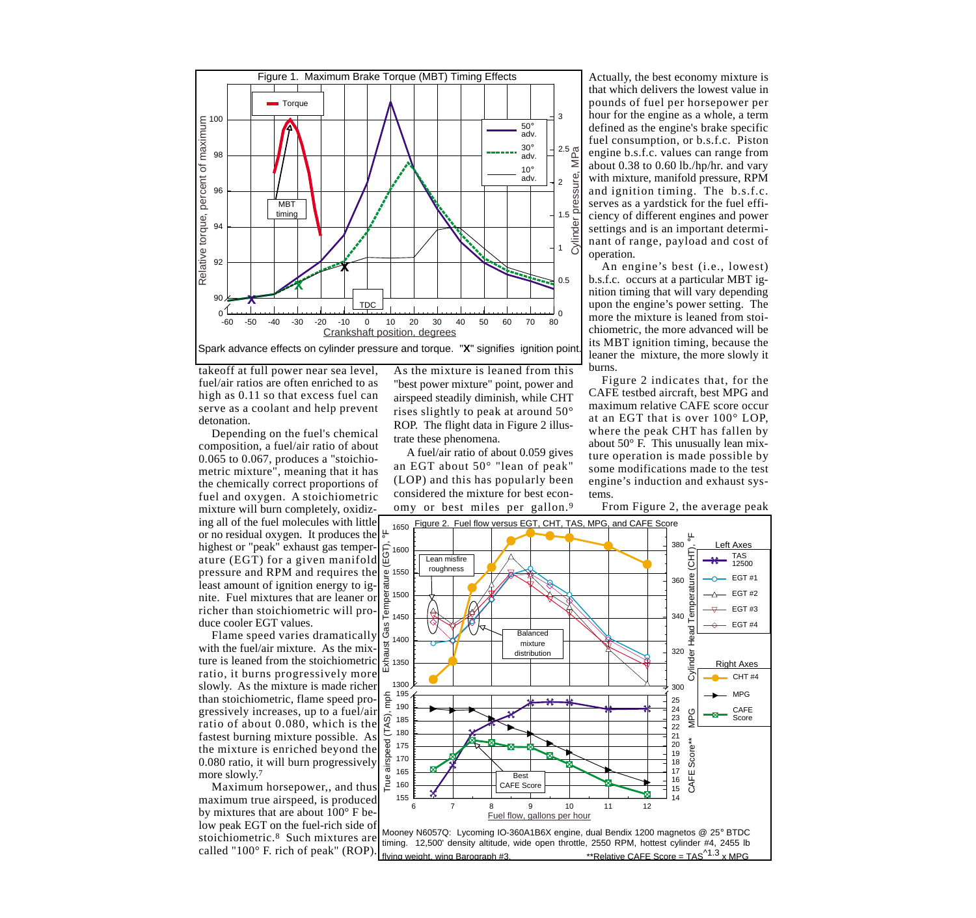

takeoff at full power near sea level, fuel/air ratios are often enriched to as high as 0.11 so that excess fuel can serve as a coolant and help prevent detonation.

Depending on the fuel's chemical composition, a fuel/air ratio of about 0.065 to 0.067, produces a "stoichiometric mixture", meaning that it has the chemically correct proportions of fuel and oxygen. A stoichiometric mixture will burn completely, oxidizing all of the fuel molecules with little or no residual oxygen. It produces the highest or "peak" exhaust gas temperature (EGT) for a given manifold pressure and RPM and requires the least amount of ignition energy to ignite. Fuel mixtures that are leaner or richer than stoichiometric will produce cooler EGT values.

Flame speed varies dramatically with the fuel/air mixture. As the mixture is leaned from the stoichiometric ratio, it burns progressively more slowly. As the mixture is made richer than stoichiometric, flame speed progressively increases, up to a fuel/air ratio of about 0.080, which is the fastest burning mixture possible. As the mixture is enriched beyond the 0.080 ratio, it will burn progressively more slowly.<sup>7</sup>

Maximum horsepower,, and thus maximum true airspeed, is produced by mixtures that are about 100° F below peak EGT on the fuel-rich side of stoichiometric.8 Such mixtures are called "100° F. rich of peak" (ROP).

As the mixture is leaned from this "best power mixture" point, power and airspeed steadily diminish, while CHT rises slightly to peak at around 50° ROP. The flight data in Figure 2 illustrate these phenomena.

A fuel/air ratio of about 0.059 gives an EGT about 50° "lean of peak" (LOP) and this has popularly been considered the mixture for best economy or best miles per gallon.9

Actually, the best economy mixture is that which delivers the lowest value in pounds of fuel per horsepower per hour for the engine as a whole, a term defined as the engine's brake specific fuel consumption, or b.s.f.c. Piston engine b.s.f.c. values can range from about 0.38 to 0.60 lb./hp/hr. and vary with mixture, manifold pressure, RPM and ignition timing. The b.s.f.c. serves as a yardstick for the fuel efficiency of different engines and power settings and is an important determinant of range, payload and cost of operation.

An engine's best (i.e., lowest) b.s.f.c. occurs at a particular MBT ignition timing that will vary depending upon the engine's power setting. The more the mixture is leaned from stoichiometric, the more advanced will be its MBT ignition timing, because the leaner the mixture, the more slowly it burns.

Figure 2 indicates that, for the CAFE testbed aircraft, best MPG and maximum relative CAFE score occur at an EGT that is over 100° LOP, where the peak CHT has fallen by about 50° F. This unusually lean mixture operation is made possible by some modifications made to the test engine's induction and exhaust systems.



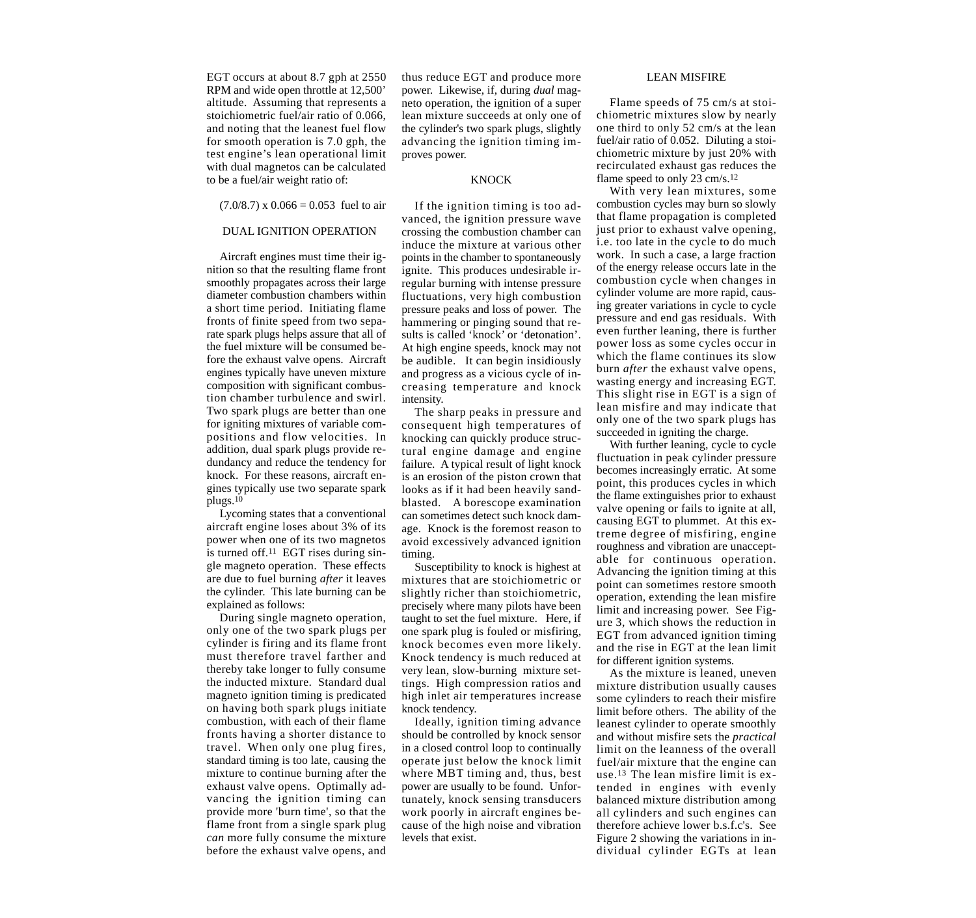EGT occurs at about 8.7 gph at 2550 RPM and wide open throttle at 12,500' altitude. Assuming that represents a stoichiometric fuel/air ratio of 0.066, and noting that the leanest fuel flow for smooth operation is 7.0 gph, the test engine's lean operational limit with dual magnetos can be calculated to be a fuel/air weight ratio of:

 $(7.0/8.7)$  x  $0.066 = 0.053$  fuel to air

## DUAL IGNITION OPERATION

Aircraft engines must time their ignition so that the resulting flame front smoothly propagates across their large diameter combustion chambers within a short time period. Initiating flame fronts of finite speed from two separate spark plugs helps assure that all of the fuel mixture will be consumed before the exhaust valve opens. Aircraft engines typically have uneven mixture composition with significant combustion chamber turbulence and swirl. Two spark plugs are better than one for igniting mixtures of variable compositions and flow velocities. In addition, dual spark plugs provide redundancy and reduce the tendency for knock. For these reasons, aircraft engines typically use two separate spark plugs.10

Lycoming states that a conventional aircraft engine loses about 3% of its power when one of its two magnetos is turned off. $11$  EGT rises during single magneto operation. These effects are due to fuel burning *after* it leaves the cylinder. This late burning can be explained as follows:

During single magneto operation, only one of the two spark plugs per cylinder is firing and its flame front must therefore travel farther and thereby take longer to fully consume the inducted mixture. Standard dual magneto ignition timing is predicated on having both spark plugs initiate combustion, with each of their flame fronts having a shorter distance to travel. When only one plug fires, standard timing is too late, causing the mixture to continue burning after the exhaust valve opens. Optimally advancing the ignition timing can provide more 'burn time', so that the flame front from a single spark plug *can* more fully consume the mixture before the exhaust valve opens, and

thus reduce EGT and produce more power. Likewise, if, during *dual* magneto operation, the ignition of a super lean mixture succeeds at only one of the cylinder's two spark plugs, slightly advancing the ignition timing improves power.

#### **KNOCK**

If the ignition timing is too advanced, the ignition pressure wave crossing the combustion chamber can induce the mixture at various other points in the chamber to spontaneously ignite. This produces undesirable irregular burning with intense pressure fluctuations, very high combustion pressure peaks and loss of power. The hammering or pinging sound that results is called 'knock' or 'detonation'. At high engine speeds, knock may not be audible. It can begin insidiously and progress as a vicious cycle of increasing temperature and knock intensity.

The sharp peaks in pressure and consequent high temperatures of knocking can quickly produce structural engine damage and engine failure. A typical result of light knock is an erosion of the piston crown that looks as if it had been heavily sandblasted. A borescope examination can sometimes detect such knock damage. Knock is the foremost reason to avoid excessively advanced ignition timing.

Susceptibility to knock is highest at mixtures that are stoichiometric or slightly richer than stoichiometric, precisely where many pilots have been taught to set the fuel mixture. Here, if one spark plug is fouled or misfiring, knock becomes even more likely. Knock tendency is much reduced at very lean, slow-burning mixture settings. High compression ratios and high inlet air temperatures increase knock tendency.

Ideally, ignition timing advance should be controlled by knock sensor in a closed control loop to continually operate just below the knock limit where MBT timing and, thus, best power are usually to be found. Unfortunately, knock sensing transducers work poorly in aircraft engines because of the high noise and vibration levels that exist.

#### LEAN MISFIRE

Flame speeds of 75 cm/s at stoichiometric mixtures slow by nearly one third to only 52 cm/s at the lean fuel/air ratio of 0.052. Diluting a stoichiometric mixture by just 20% with recirculated exhaust gas reduces the flame speed to only 23 cm/s.12

With very lean mixtures, some combustion cycles may burn so slowly that flame propagation is completed just prior to exhaust valve opening, i.e. too late in the cycle to do much work. In such a case, a large fraction of the energy release occurs late in the combustion cycle when changes in cylinder volume are more rapid, causing greater variations in cycle to cycle pressure and end gas residuals. With even further leaning, there is further power loss as some cycles occur in which the flame continues its slow burn *after* the exhaust valve opens, wasting energy and increasing EGT. This slight rise in EGT is a sign of lean misfire and may indicate that only one of the two spark plugs has succeeded in igniting the charge.

With further leaning, cycle to cycle fluctuation in peak cylinder pressure becomes increasingly erratic. At some point, this produces cycles in which the flame extinguishes prior to exhaust valve opening or fails to ignite at all, causing EGT to plummet. At this extreme degree of misfiring, engine roughness and vibration are unacceptable for continuous operation. Advancing the ignition timing at this point can sometimes restore smooth operation, extending the lean misfire limit and increasing power. See Figure 3, which shows the reduction in EGT from advanced ignition timing and the rise in EGT at the lean limit for different ignition systems.

As the mixture is leaned, uneven mixture distribution usually causes some cylinders to reach their misfire limit before others. The ability of the leanest cylinder to operate smoothly and without misfire sets the *practical* limit on the leanness of the overall fuel/air mixture that the engine can use.13 The lean misfire limit is extended in engines with evenly balanced mixture distribution among all cylinders and such engines can therefore achieve lower b.s.f.c's. See Figure 2 showing the variations in individual cylinder EGTs at lean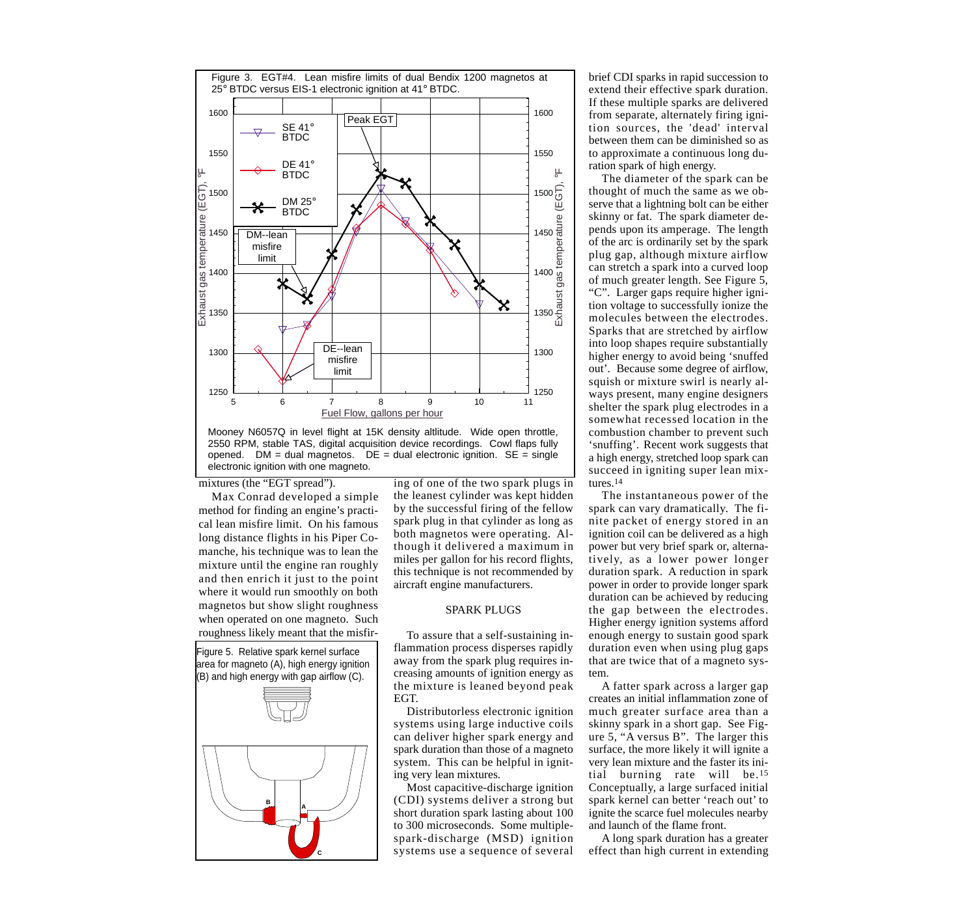

Mooney N6057Q in level flight at 15K density altlitude. Wide open throttle, 2550 RPM, stable TAS, digital acquisition device recordings. Cowl flaps fully opened.  $DM =$  dual magnetos.  $DE =$  dual electronic ignition.  $SE =$  single electronic ignition with one magneto.

mixtures (the "EGT spread").

Max Conrad developed a simple method for finding an engine's practical lean misfire limit. On his famous long distance flights in his Piper Comanche, his technique was to lean the mixture until the engine ran roughly and then enrich it just to the point where it would run smoothly on both magnetos but show slight roughness when operated on one magneto. Such roughness likely meant that the misfir-

Figure 5. Relative spark kernel surface area for magneto (A), high energy ignition (B) and high energy with gap airflow (C).



ing of one of the two spark plugs in the leanest cylinder was kept hidden by the successful firing of the fellow spark plug in that cylinder as long as both magnetos were operating. Although it delivered a maximum in miles per gallon for his record flights, this technique is not recommended by aircraft engine manufacturers.

#### SPARK PLUGS

To assure that a self-sustaining inflammation process disperses rapidly away from the spark plug requires increasing amounts of ignition energy as the mixture is leaned beyond peak EGT.

Distributorless electronic ignition systems using large inductive coils can deliver higher spark energy and spark duration than those of a magneto system. This can be helpful in igniting very lean mixtures.

Most capacitive-discharge ignition (CDI) systems deliver a strong but short duration spark lasting about 100 to 300 microseconds. Some multiplespark-discharge (MSD) ignition systems use a sequence of several brief CDI sparks in rapid succession to extend their effective spark duration. If these multiple sparks are delivered from separate, alternately firing ignition sources, the 'dead' interval between them can be diminished so as to approximate a continuous long duration spark of high energy.

The diameter of the spark can be thought of much the same as we observe that a lightning bolt can be either skinny or fat. The spark diameter depends upon its amperage. The length of the arc is ordinarily set by the spark plug gap, although mixture airflow can stretch a spark into a curved loop of much greater length. See Figure 5, "C". Larger gaps require higher ignition voltage to successfully ionize the molecules between the electrodes. Sparks that are stretched by airflow into loop shapes require substantially higher energy to avoid being 'snuffed out'. Because some degree of airflow, squish or mixture swirl is nearly always present, many engine designers shelter the spark plug electrodes in a somewhat recessed location in the combustion chamber to prevent such 'snuffing'. Recent work suggests that a high energy, stretched loop spark can succeed in igniting super lean mixtures.14

The instantaneous power of the spark can vary dramatically. The finite packet of energy stored in an ignition coil can be delivered as a high power but very brief spark or, alternatively, as a lower power longer duration spark. A reduction in spark power in order to provide longer spark duration can be achieved by reducing the gap between the electrodes. Higher energy ignition systems afford enough energy to sustain good spark duration even when using plug gaps that are twice that of a magneto system.

A fatter spark across a larger gap creates an initial inflammation zone of much greater surface area than a skinny spark in a short gap. See Figure 5, "A versus B". The larger this surface, the more likely it will ignite a very lean mixture and the faster its initial burning rate will be.15 Conceptually, a large surfaced initial spark kernel can better 'reach out' to ignite the scarce fuel molecules nearby and launch of the flame front.

A long spark duration has a greater effect than high current in extending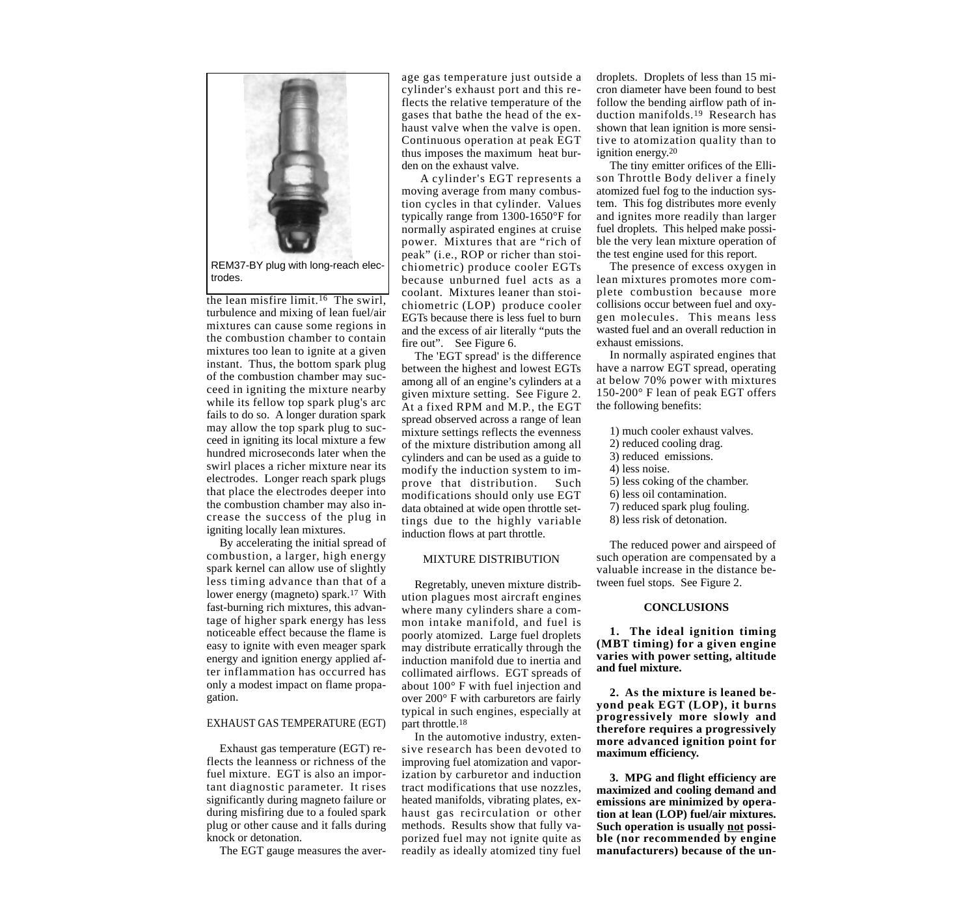

REM37-BY plug with long-reach electrodes.

the lean misfire limit.16 The swirl, turbulence and mixing of lean fuel/air mixtures can cause some regions in the combustion chamber to contain mixtures too lean to ignite at a given instant. Thus, the bottom spark plug of the combustion chamber may succeed in igniting the mixture nearby while its fellow top spark plug's arc fails to do so. A longer duration spark may allow the top spark plug to succeed in igniting its local mixture a few hundred microseconds later when the swirl places a richer mixture near its electrodes. Longer reach spark plugs that place the electrodes deeper into the combustion chamber may also increase the success of the plug in igniting locally lean mixtures.

By accelerating the initial spread of combustion, a larger, high energy spark kernel can allow use of slightly less timing advance than that of a lower energy (magneto) spark.<sup>17</sup> With fast-burning rich mixtures, this advantage of higher spark energy has less noticeable effect because the flame is easy to ignite with even meager spark energy and ignition energy applied after inflammation has occurred has only a modest impact on flame propagation.

#### EXHAUST GAS TEMPERATURE (EGT)

Exhaust gas temperature (EGT) reflects the leanness or richness of the fuel mixture. EGT is also an important diagnostic parameter. It rises significantly during magneto failure or during misfiring due to a fouled spark plug or other cause and it falls during knock or detonation.

The EGT gauge measures the aver-

age gas temperature just outside a cylinder's exhaust port and this reflects the relative temperature of the gases that bathe the head of the exhaust valve when the valve is open. Continuous operation at peak EGT thus imposes the maximum heat burden on the exhaust valve.

A cylinder's EGT represents a moving average from many combustion cycles in that cylinder. Values typically range from 1300-1650°F for normally aspirated engines at cruise power. Mixtures that are "rich of peak" (i.e., ROP or richer than stoichiometric) produce cooler EGTs because unburned fuel acts as a coolant. Mixtures leaner than stoichiometric (LOP) produce cooler EGTs because there is less fuel to burn and the excess of air literally "puts the fire out". See Figure 6.

The 'EGT spread' is the difference between the highest and lowest EGTs among all of an engine's cylinders at a given mixture setting. See Figure 2. At a fixed RPM and M.P., the EGT spread observed across a range of lean mixture settings reflects the evenness of the mixture distribution among all cylinders and can be used as a guide to modify the induction system to improve that distribution. Such modifications should only use EGT data obtained at wide open throttle settings due to the highly variable induction flows at part throttle.

#### MIXTURE DISTRIBUTION

Regretably, uneven mixture distribution plagues most aircraft engines where many cylinders share a common intake manifold, and fuel is poorly atomized. Large fuel droplets may distribute erratically through the induction manifold due to inertia and collimated airflows. EGT spreads of about 100° F with fuel injection and over 200° F with carburetors are fairly typical in such engines, especially at part throttle.18

In the automotive industry, extensive research has been devoted to improving fuel atomization and vaporization by carburetor and induction tract modifications that use nozzles, heated manifolds, vibrating plates, exhaust gas recirculation or other methods. Results show that fully vaporized fuel may not ignite quite as readily as ideally atomized tiny fuel

droplets. Droplets of less than 15 micron diameter have been found to best follow the bending airflow path of induction manifolds.19 Research has shown that lean ignition is more sensitive to atomization quality than to ignition energy.20

The tiny emitter orifices of the Ellison Throttle Body deliver a finely atomized fuel fog to the induction system. This fog distributes more evenly and ignites more readily than larger fuel droplets. This helped make possible the very lean mixture operation of the test engine used for this report.

The presence of excess oxygen in lean mixtures promotes more complete combustion because more collisions occur between fuel and oxygen molecules. This means less wasted fuel and an overall reduction in exhaust emissions.

In normally aspirated engines that have a narrow EGT spread, operating at below 70% power with mixtures 150-200° F lean of peak EGT offers the following benefits:

- 1) much cooler exhaust valves.
- 2) reduced cooling drag.
- 3) reduced emissions.
- 4) less noise.
- 5) less coking of the chamber.
- 6) less oil contamination.
- 7) reduced spark plug fouling.
- 8) less risk of detonation.

The reduced power and airspeed of such operation are compensated by a valuable increase in the distance between fuel stops. See Figure 2.

#### **CONCLUSIONS**

**1. The ideal ignition timing (MBT timing) for a given engine varies with power setting, altitude and fuel mixture.**

**2. As the mixture is leaned beyond peak EGT (LOP), it burns progressively more slowly and therefore requires a progressively more advanced ignition point for maximum efficiency.**

**3. MPG and flight efficiency are maximized and cooling demand and emissions are minimized by operation at lean (LOP) fuel/air mixtures. Such operation is usually not possible (nor recommended by engine manufacturers) because of the un-**